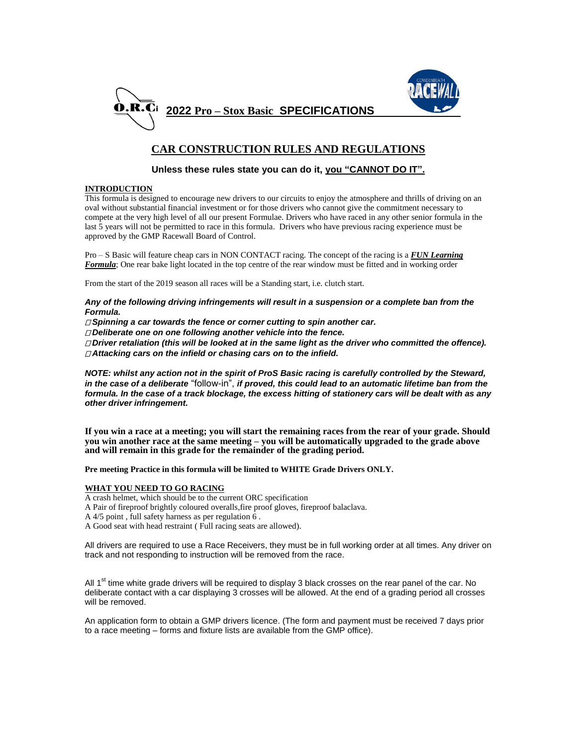



# **CAR CONSTRUCTION RULES AND REGULATIONS**

## **Unless these rules state you can do it, you "CANNOT DO IT".**

## **INTRODUCTION**

This formula is designed to encourage new drivers to our circuits to enjoy the atmosphere and thrills of driving on an oval without substantial financial investment or for those drivers who cannot give the commitment necessary to compete at the very high level of all our present Formulae. Drivers who have raced in any other senior formula in the last 5 years will not be permitted to race in this formula. Drivers who have previous racing experience must be approved by the GMP Racewall Board of Control.

Pro – S Basic will feature cheap cars in NON CONTACT racing. The concept of the racing is a *FUN Learning Formula*; One rear bake light located in the top centre of the rear window must be fitted and in working order

From the start of the 2019 season all races will be a Standing start, i.e. clutch start.

*Any of the following driving infringements will result in a suspension or a complete ban from the Formula.*

*Spinning a car towards the fence or corner cutting to spin another car.*

*Deliberate one on one following another vehicle into the fence.*

*Driver retaliation (this will be looked at in the same light as the driver who committed the offence). Attacking cars on the infield or chasing cars on to the infield.*

*NOTE: whilst any action not in the spirit of ProS Basic racing is carefully controlled by the Steward, in the case of a deliberate* "follow-in", *if proved, this could lead to an automatic lifetime ban from the formula. In the case of a track blockage, the excess hitting of stationery cars will be dealt with as any other driver infringement.*

**If you win a race at a meeting; you will start the remaining races from the rear of your grade. Should you win another race at the same meeting – you will be automatically upgraded to the grade above and will remain in this grade for the remainder of the grading period.**

**Pre meeting Practice in this formula will be limited to WHITE Grade Drivers ONLY.** 

## **WHAT YOU NEED TO GO RACING**

A crash helmet, which should be to the current ORC specification

A Pair of fireproof brightly coloured overalls,fire proof gloves, fireproof balaclava.

- A 4/5 point , full safety harness as per regulation 6 .
- A Good seat with head restraint ( Full racing seats are allowed).

All drivers are required to use a Race Receivers, they must be in full working order at all times. Any driver on track and not responding to instruction will be removed from the race.

All 1<sup>st</sup> time white grade drivers will be required to display 3 black crosses on the rear panel of the car. No deliberate contact with a car displaying 3 crosses will be allowed. At the end of a grading period all crosses will be removed.

An application form to obtain a GMP drivers licence. (The form and payment must be received 7 days prior to a race meeting – forms and fixture lists are available from the GMP office).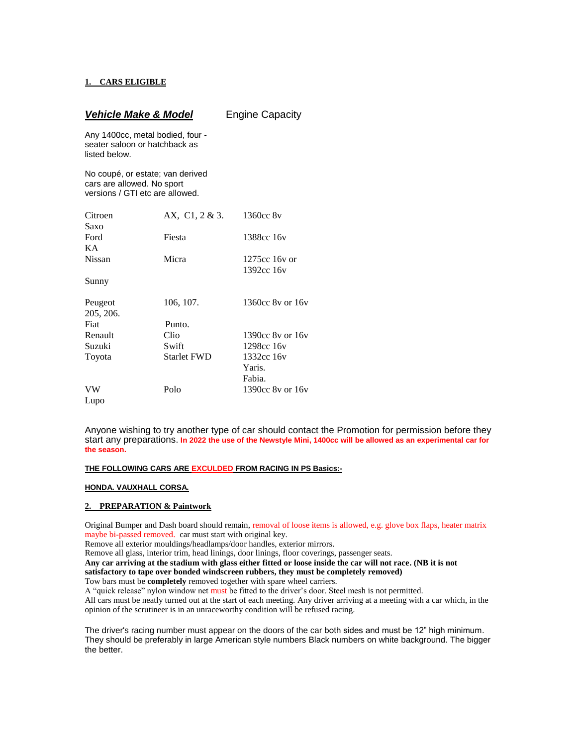## **1. CARS ELIGIBLE**

| <b>Vehicle Make &amp; Model</b>                                                                   |                    | <b>Engine Capacity</b> |  |
|---------------------------------------------------------------------------------------------------|--------------------|------------------------|--|
| Any 1400cc, metal bodied, four -<br>seater saloon or hatchback as<br>listed below.                |                    |                        |  |
| No coupé, or estate; van derived<br>cars are allowed. No sport<br>versions / GTI etc are allowed. |                    |                        |  |
| Citroen                                                                                           | AX, C1, 2 & 3.     | 1360cc 8v              |  |
| Saxo                                                                                              |                    |                        |  |
| Ford                                                                                              | Fiesta             | 1388cc 16y             |  |
| KA.                                                                                               |                    |                        |  |
| <b>Nissan</b>                                                                                     | Micra              | $1275cc$ 16y or        |  |
|                                                                                                   |                    | 1392cc 16y             |  |
| Sunny                                                                                             |                    |                        |  |
| Peugeot                                                                                           | 106, 107.          | 1360cc 8y or 16y       |  |
| 205, 206.                                                                                         |                    |                        |  |
| Fiat                                                                                              | Punto.             |                        |  |
| Renault                                                                                           | Clio               | 1390cc 8y or 16y       |  |
| Suzuki                                                                                            | Swift              | 1298cc 16y             |  |
| Toyota                                                                                            | <b>Starlet FWD</b> | 1332cc 16y             |  |
|                                                                                                   |                    | Yaris.                 |  |
|                                                                                                   |                    | Fabia.                 |  |
| VW                                                                                                | Polo               | 1390cc 8y or 16y       |  |
| Lupo                                                                                              |                    |                        |  |

Anyone wishing to try another type of car should contact the Promotion for permission before they start any preparations. **In 2022 the use of the Newstyle Mini, 1400cc will be allowed as an experimental car for the season.** 

## **THE FOLLOWING CARS ARE EXCULDED FROM RACING IN PS Basics:-**

#### **HONDA. VAUXHALL CORSA.**

#### **2. PREPARATION & Paintwork**

Original Bumper and Dash board should remain, removal of loose items is allowed, e.g. glove box flaps, heater matrix maybe bi-passed removed. car must start with original key.

Remove all exterior mouldings/headlamps/door handles, exterior mirrors.

Remove all glass, interior trim, head linings, door linings, floor coverings, passenger seats.

**Any car arriving at the stadium with glass either fitted or loose inside the car will not race. (NB it is not** 

**satisfactory to tape over bonded windscreen rubbers, they must be completely removed)**

Tow bars must be **completely** removed together with spare wheel carriers.

A "quick release" nylon window net must be fitted to the driver's door. Steel mesh is not permitted.

All cars must be neatly turned out at the start of each meeting. Any driver arriving at a meeting with a car which, in the opinion of the scrutineer is in an unraceworthy condition will be refused racing.

The driver's racing number must appear on the doors of the car both sides and must be 12" high minimum. They should be preferably in large American style numbers Black numbers on white background. The bigger the better.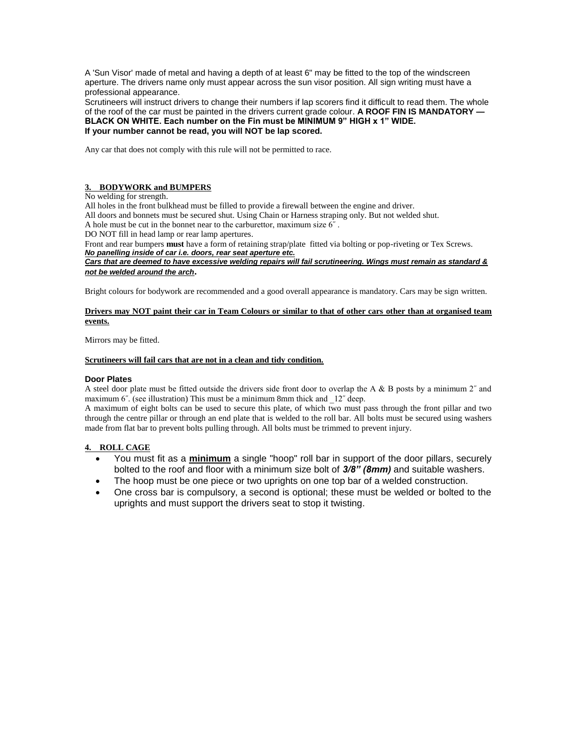A 'Sun Visor' made of metal and having a depth of at least 6" may be fitted to the top of the windscreen aperture. The drivers name only must appear across the sun visor position. All sign writing must have a professional appearance.

Scrutineers will instruct drivers to change their numbers if lap scorers find it difficult to read them. The whole of the roof of the car must be painted in the drivers current grade colour. **A ROOF FIN IS MANDATORY — BLACK ON WHITE. Each number on the Fin must be MINIMUM 9" HIGH x 1" WIDE. If your number cannot be read, you will NOT be lap scored.**

Any car that does not comply with this rule will not be permitted to race.

## **3. BODYWORK and BUMPERS**

No welding for strength.

All holes in the front bulkhead must be filled to provide a firewall between the engine and driver.

All doors and bonnets must be secured shut. Using Chain or Harness straping only. But not welded shut.

A hole must be cut in the bonnet near to the carburettor, maximum size  $6^{\degree}$ .

DO NOT fill in head lamp or rear lamp apertures.

Front and rear bumpers **must** have a form of retaining strap/plate fitted via bolting or pop-riveting or Tex Screws. *No panelling inside of car i.e. doors, rear seat aperture etc.*

*Cars that are deemed to have excessive welding repairs will fail scrutineering. Wings must remain as standard & not be welded around the arch***.** 

Bright colours for bodywork are recommended and a good overall appearance is mandatory. Cars may be sign written.

#### **Drivers may NOT paint their car in Team Colours or similar to that of other cars other than at organised team events.**

Mirrors may be fitted.

#### **Scrutineers will fail cars that are not in a clean and tidy condition.**

#### **Door Plates**

A steel door plate must be fitted outside the drivers side front door to overlap the A & B posts by a minimum 2˝ and maximum 6<sup>"</sup>. (see illustration) This must be a minimum 8mm thick and  $12$ <sup>"</sup> deep.

A maximum of eight bolts can be used to secure this plate, of which two must pass through the front pillar and two through the centre pillar or through an end plate that is welded to the roll bar. All bolts must be secured using washers made from flat bar to prevent bolts pulling through. All bolts must be trimmed to prevent injury.

## **4. ROLL CAGE**

- You must fit as a **minimum** a single "hoop" roll bar in support of the door pillars, securely bolted to the roof and floor with a minimum size bolt of *3/8" (8mm)* and suitable washers.
- The hoop must be one piece or two uprights on one top bar of a welded construction.
- One cross bar is compulsory, a second is optional; these must be welded or bolted to the uprights and must support the drivers seat to stop it twisting.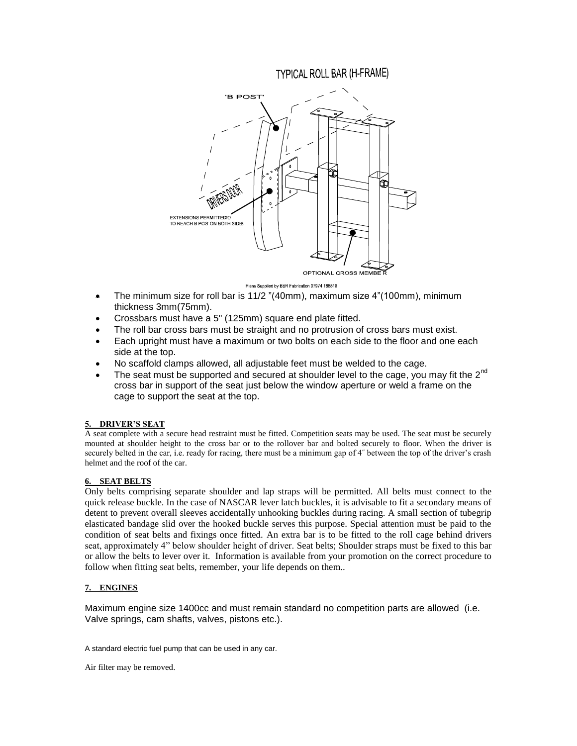# **TYPICAL ROLL BAR (H-FRAME)**



Plans Supplied by BBR Fabrication 07974 188819

- $\bullet$  The minimum size for roll bar is 11/2 "(40mm), maximum size 4"(100mm), minimum thickness 3mm(75mm).
- Crossbars must have a 5" (125mm) square end plate fitted.
- The roll bar cross bars must be straight and no protrusion of cross bars must exist.
- Each upright must have a maximum or two bolts on each side to the floor and one each side at the top.
- No scaffold clamps allowed, all adjustable feet must be welded to the cage.
- The seat must be supported and secured at shoulder level to the cage, you may fit the  $2^{nd}$ cross bar in support of the seat just below the window aperture or weld a frame on the cage to support the seat at the top.

## **5. DRIVER'S SEAT**

A seat complete with a secure head restraint must be fitted. Competition seats may be used. The seat must be securely mounted at shoulder height to the cross bar or to the rollover bar and bolted securely to floor. When the driver is securely belted in the car, i.e. ready for racing, there must be a minimum gap of 4˝ between the top of the driver's crash helmet and the roof of the car.

## **6. SEAT BELTS**

Only belts comprising separate shoulder and lap straps will be permitted. All belts must connect to the quick release buckle. In the case of NASCAR lever latch buckles, it is advisable to fit a secondary means of detent to prevent overall sleeves accidentally unhooking buckles during racing. A small section of tubegrip elasticated bandage slid over the hooked buckle serves this purpose. Special attention must be paid to the condition of seat belts and fixings once fitted. An extra bar is to be fitted to the roll cage behind drivers seat, approximately 4" below shoulder height of driver. Seat belts; Shoulder straps must be fixed to this bar or allow the belts to lever over it. Information is available from your promotion on the correct procedure to follow when fitting seat belts, remember, your life depends on them..

## **7. ENGINES**

Maximum engine size 1400cc and must remain standard no competition parts are allowed (i.e. Valve springs, cam shafts, valves, pistons etc.).

A standard electric fuel pump that can be used in any car.

Air filter may be removed.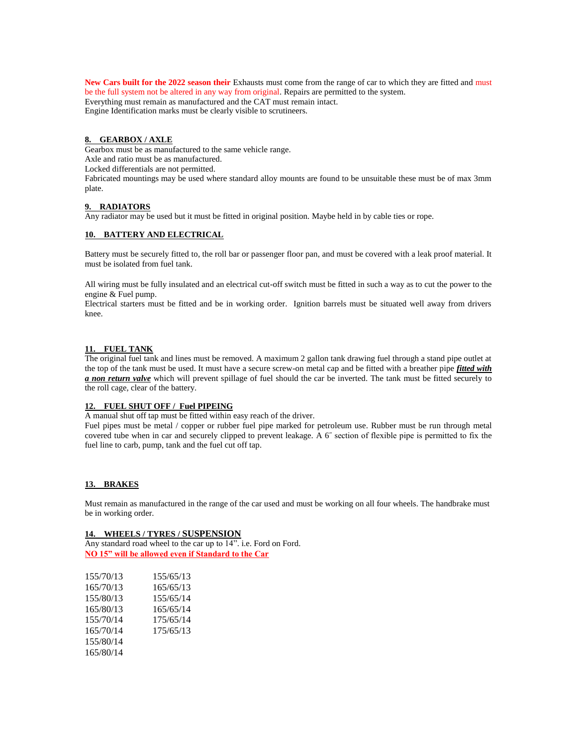**New Cars built for the 2022 season their** Exhausts must come from the range of car to which they are fitted and must be the full system not be altered in any way from original. Repairs are permitted to the system. Everything must remain as manufactured and the CAT must remain intact. Engine Identification marks must be clearly visible to scrutineers.

## **8. GEARBOX / AXLE**

Gearbox must be as manufactured to the same vehicle range.

Axle and ratio must be as manufactured.

Locked differentials are not permitted.

Fabricated mountings may be used where standard alloy mounts are found to be unsuitable these must be of max 3mm plate.

## **9. RADIATORS**

Any radiator may be used but it must be fitted in original position. Maybe held in by cable ties or rope.

#### **10. BATTERY AND ELECTRICAL**

Battery must be securely fitted to, the roll bar or passenger floor pan, and must be covered with a leak proof material. It must be isolated from fuel tank.

All wiring must be fully insulated and an electrical cut-off switch must be fitted in such a way as to cut the power to the engine & Fuel pump.

Electrical starters must be fitted and be in working order. Ignition barrels must be situated well away from drivers knee.

#### **11. FUEL TANK**

The original fuel tank and lines must be removed. A maximum 2 gallon tank drawing fuel through a stand pipe outlet at the top of the tank must be used. It must have a secure screw-on metal cap and be fitted with a breather pipe *fitted with a non return valve* which will prevent spillage of fuel should the car be inverted. The tank must be fitted securely to the roll cage, clear of the battery.

#### **12. FUEL SHUT OFF / Fuel PIPEING**

A manual shut off tap must be fitted within easy reach of the driver.

Fuel pipes must be metal / copper or rubber fuel pipe marked for petroleum use. Rubber must be run through metal covered tube when in car and securely clipped to prevent leakage. A 6˝ section of flexible pipe is permitted to fix the fuel line to carb, pump, tank and the fuel cut off tap.

#### **13. BRAKES**

Must remain as manufactured in the range of the car used and must be working on all four wheels. The handbrake must be in working order.

#### **14. WHEELS / TYRES / SUSPENSION**

Any standard road wheel to the car up to 14". i.e. Ford on Ford. **NO 15" will be allowed even if Standard to the Car**

| 155/70/13 | 155/65/13 |
|-----------|-----------|
| 165/70/13 | 165/65/13 |
| 155/80/13 | 155/65/14 |
| 165/80/13 | 165/65/14 |
| 155/70/14 | 175/65/14 |
| 165/70/14 | 175/65/13 |
| 155/80/14 |           |
| 165/80/14 |           |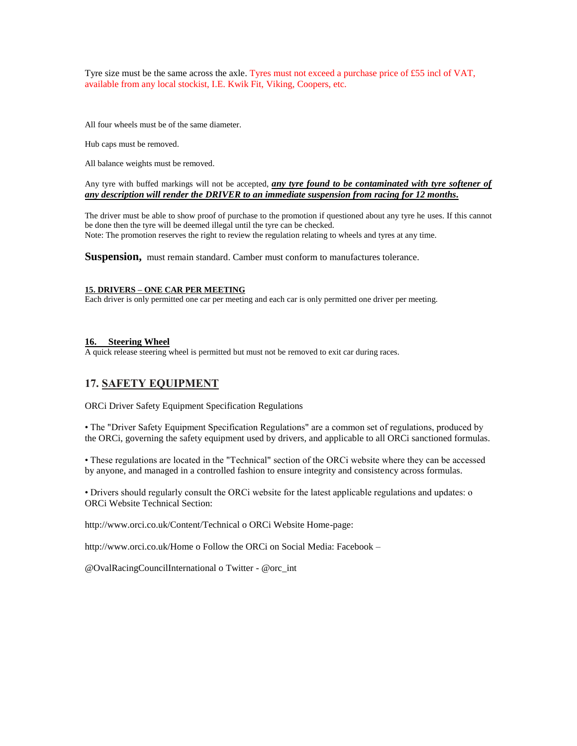Tyre size must be the same across the axle. Tyres must not exceed a purchase price of £55 incl of VAT, available from any local stockist, I.E. Kwik Fit, Viking, Coopers, etc.

All four wheels must be of the same diameter.

Hub caps must be removed.

All balance weights must be removed.

## Any tyre with buffed markings will not be accepted, *any tyre found to be contaminated with tyre softener of any description will render the DRIVER to an immediate suspension from racing for 12 months.*

The driver must be able to show proof of purchase to the promotion if questioned about any tyre he uses. If this cannot be done then the tyre will be deemed illegal until the tyre can be checked. Note: The promotion reserves the right to review the regulation relating to wheels and tyres at any time.

**Suspension,** must remain standard. Camber must conform to manufactures tolerance.

## **15. DRIVERS – ONE CAR PER MEETING**

Each driver is only permitted one car per meeting and each car is only permitted one driver per meeting.

#### **16. Steering Wheel**

A quick release steering wheel is permitted but must not be removed to exit car during races.

## **17. SAFETY EQUIPMENT**

ORCi Driver Safety Equipment Specification Regulations

• The "Driver Safety Equipment Specification Regulations" are a common set of regulations, produced by the ORCi, governing the safety equipment used by drivers, and applicable to all ORCi sanctioned formulas.

• These regulations are located in the "Technical" section of the ORCi website where they can be accessed by anyone, and managed in a controlled fashion to ensure integrity and consistency across formulas.

• Drivers should regularly consult the ORCi website for the latest applicable regulations and updates: o ORCi Website Technical Section:

http://www.orci.co.uk/Content/Technical o ORCi Website Home-page:

http://www.orci.co.uk/Home o Follow the ORCi on Social Media: Facebook –

@OvalRacingCouncilInternational o Twitter - @orc\_int